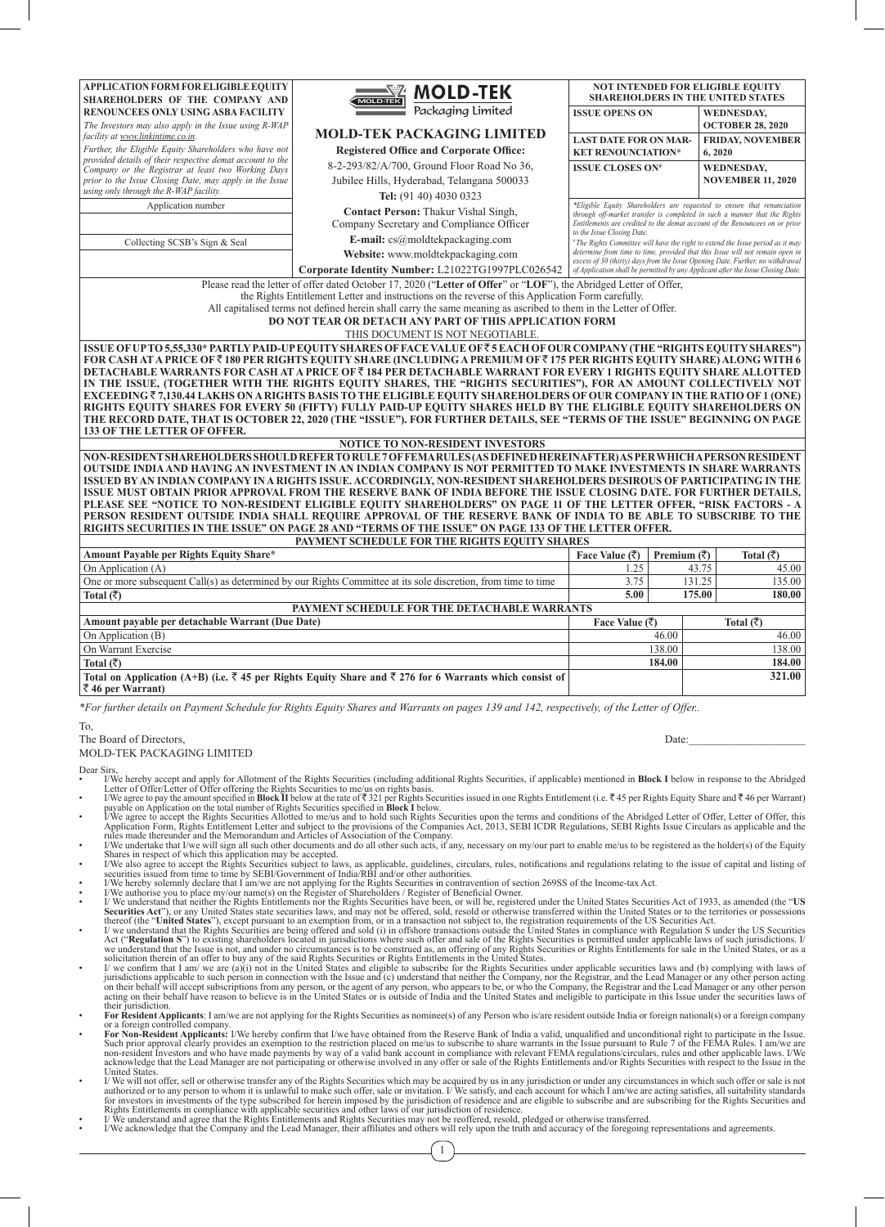| APPLICATION FORM FOR ELIGIBLE EQUITY                                                                                                                                                                                                              | <b>MOLD-TEK</b>                                                                                                                           |                                               |                                       | <b>NOT INTENDED FOR ELIGIBLE EQUITY</b><br><b>SHAREHOLDERS IN THE UNITED STATES</b> |  |  |  |  |  |
|---------------------------------------------------------------------------------------------------------------------------------------------------------------------------------------------------------------------------------------------------|-------------------------------------------------------------------------------------------------------------------------------------------|-----------------------------------------------|---------------------------------------|-------------------------------------------------------------------------------------|--|--|--|--|--|
|                                                                                                                                                                                                                                                   | SHAREHOLDERS OF THE COMPANY AND                                                                                                           |                                               |                                       |                                                                                     |  |  |  |  |  |
| <b>RENOUNCEES ONLY USING ASBA FACILITY</b>                                                                                                                                                                                                        | Packaging Limited                                                                                                                         | <b>ISSUE OPENS ON</b>                         |                                       | <b>WEDNESDAY,</b>                                                                   |  |  |  |  |  |
| The Investors may also apply in the Issue using R-WAP<br>facility at www.linkintime.co.in.                                                                                                                                                        | <b>MOLD-TEK PACKAGING LIMITED</b>                                                                                                         |                                               |                                       | <b>OCTOBER 28, 2020</b>                                                             |  |  |  |  |  |
| Further, the Eligible Equity Shareholders who have not                                                                                                                                                                                            | <b>Registered Office and Corporate Office:</b>                                                                                            | <b>LAST DATE FOR ON MAR-</b>                  |                                       | <b>FRIDAY, NOVEMBER</b><br>6,2020                                                   |  |  |  |  |  |
| provided details of their respective demat account to the                                                                                                                                                                                         | <b>KET RENOUNCIATION*</b><br>8-2-293/82/A/700, Ground Floor Road No 36,<br><b>ISSUE CLOSES ON#</b>                                        |                                               |                                       |                                                                                     |  |  |  |  |  |
| Company or the Registrar at least two Working Days<br>prior to the Issue Closing Date, may apply in the Issue                                                                                                                                     |                                                                                                                                           | <b>WEDNESDAY,</b><br><b>NOVEMBER 11, 2020</b> |                                       |                                                                                     |  |  |  |  |  |
| using only through the R-WAP facility.                                                                                                                                                                                                            | Jubilee Hills, Hyderabad, Telangana 500033                                                                                                |                                               |                                       |                                                                                     |  |  |  |  |  |
| Application number                                                                                                                                                                                                                                | Tel: (91 40) 4030 0323                                                                                                                    |                                               |                                       | *Eligible Equity Shareholders are requested to ensure that renunciation             |  |  |  |  |  |
|                                                                                                                                                                                                                                                   | Contact Person: Thakur Vishal Singh,                                                                                                      |                                               |                                       | through off-market transfer is completed in such a manner that the Rights           |  |  |  |  |  |
|                                                                                                                                                                                                                                                   | Company Secretary and Compliance Officer                                                                                                  | to the Issue Closing Date.                    |                                       | Entitlements are credited to the demat account of the Renouncees on or prior        |  |  |  |  |  |
| E-mail: $cs@$ moldtekpackaging.com<br>Collecting SCSB's Sign & Seal<br><sup>®</sup> The Rights Committee will have the right to extend the Issue period as it may                                                                                 |                                                                                                                                           |                                               |                                       |                                                                                     |  |  |  |  |  |
| determine from time to time, provided that this Issue will not remain open in<br>Website: www.moldtekpackaging.com<br>excess of 30 (thirty) days from the Issue Opening Date. Further, no withdrawal                                              |                                                                                                                                           |                                               |                                       |                                                                                     |  |  |  |  |  |
|                                                                                                                                                                                                                                                   | Corporate Identity Number: L21022TG1997PLC026542                                                                                          |                                               |                                       | of Application shall be permitted by any Applicant after the Issue Closing Date.    |  |  |  |  |  |
| Please read the letter of offer dated October 17, 2020 ("Letter of Offer" or "LOF"), the Abridged Letter of Offer,                                                                                                                                |                                                                                                                                           |                                               |                                       |                                                                                     |  |  |  |  |  |
| the Rights Entitlement Letter and instructions on the reverse of this Application Form carefully.<br>All capitalised terms not defined herein shall carry the same meaning as ascribed to them in the Letter of Offer.                            |                                                                                                                                           |                                               |                                       |                                                                                     |  |  |  |  |  |
|                                                                                                                                                                                                                                                   |                                                                                                                                           |                                               |                                       |                                                                                     |  |  |  |  |  |
|                                                                                                                                                                                                                                                   | <b>DO NOT TEAR OR DETACH ANY PART OF THIS APPLICATION FORM</b>                                                                            |                                               |                                       |                                                                                     |  |  |  |  |  |
| THIS DOCUMENT IS NOT NEGOTIABLE.                                                                                                                                                                                                                  |                                                                                                                                           |                                               |                                       |                                                                                     |  |  |  |  |  |
| ISSUE OF UP TO 5,55,330* PARTLY PAID-UP EQUITY SHARES OF FACE VALUE OF₹5 EACH OF OUR COMPANY (THE "RIGHTS EQUITY SHARES")<br>FOR CASH AT A PRICE OF₹180 PER RIGHTS EQUITY SHARE (INCLUDING A PREMIUM OF₹175 PER RIGHTS EQUITY SHARE) ALONG WITH 6 |                                                                                                                                           |                                               |                                       |                                                                                     |  |  |  |  |  |
| DETACHABLE WARRANTS FOR CASH AT A PRÌCE OF₹184 PÈR DETACHABLE WARRANT FOR EVERY 1 RIGHTS EQUITY SHARE ALLOTTED                                                                                                                                    |                                                                                                                                           |                                               |                                       |                                                                                     |  |  |  |  |  |
| IN THE ISSUE, (TOGETHER WITH THE RIGHTS EQUITY SHARES, THE "RIGHTS SECURITIES"), FOR AN AMOUNT COLLECTIVELY NOT                                                                                                                                   |                                                                                                                                           |                                               |                                       |                                                                                     |  |  |  |  |  |
| EXCEEDING₹7,130.44 LAKHS ON A RIGHTS BASIS TO THE ELIGIBLE EQUITY SHAREHOLDERS OF OUR COMPANY IN THE RATIO OF 1 (ONE)                                                                                                                             |                                                                                                                                           |                                               |                                       |                                                                                     |  |  |  |  |  |
| RIGHTS EQUITY SHARES FOR EVERY 50 (FIFTY) FULLY PAID-UP EQUITY SHARES HELD BY THE ELIGIBLE EQUITY SHAREHOLDERS ON                                                                                                                                 |                                                                                                                                           |                                               |                                       |                                                                                     |  |  |  |  |  |
| THE RECORD DATE, THAT IS OCTOBER 22, 2020 (THE "ISSUE"). FOR FURTHER DETAILS, SEE "TERMS OF THE ISSUE" BEGINNING ON PAGE<br>133 OF THE LETTER OF OFFER.                                                                                           |                                                                                                                                           |                                               |                                       |                                                                                     |  |  |  |  |  |
| <b>NOTICE TO NON-RESIDENT INVESTORS</b>                                                                                                                                                                                                           |                                                                                                                                           |                                               |                                       |                                                                                     |  |  |  |  |  |
|                                                                                                                                                                                                                                                   |                                                                                                                                           |                                               |                                       |                                                                                     |  |  |  |  |  |
| NON-RESIDENT SHAREHOLDERS SHOULD REFER TO RULE 7 OF FEMA RULES (AS DEFINED HEREINAFTER) AS PER WHICH A PERSON RESIDENT<br>OUTSIDE INDIA AND HAVING AN INVESTMENT IN AN INDIAN COMPANY IS NOT PERMITTED TO MAKE INVESTMENTS IN SHARE WARRANTS      |                                                                                                                                           |                                               |                                       |                                                                                     |  |  |  |  |  |
| ISSUED BY AN INDIAN COMPANY IN A RIGHTS ISSUE. ACCORDINGLY, NON-RESIDENT SHAREHOLDERS DESIROUS OF PARTICIPATING IN THE                                                                                                                            |                                                                                                                                           |                                               |                                       |                                                                                     |  |  |  |  |  |
| ISSUE MUST OBTAIN PRIOR APPROVAL FROM THE RESERVE BANK OF INDIA BEFORE THE ISSUE CLOSING DATE. FOR FURTHER DETAILS,                                                                                                                               |                                                                                                                                           |                                               |                                       |                                                                                     |  |  |  |  |  |
| PLEASE SEE "NOTICE TO NON-RESIDENT ELIGIBLE EQUITY SHAREHOLDERS" ON PAGE 11 OF THE LETTER OFFER, "RISK FACTORS - A                                                                                                                                |                                                                                                                                           |                                               |                                       |                                                                                     |  |  |  |  |  |
| PERSON RESIDENT OUTSIDE INDIA SHALL REQUIRE APPROVAL OF THE RESERVE BANK OF INDIA TO BE ABLE TO SUBSCRIBE TO THE                                                                                                                                  |                                                                                                                                           |                                               |                                       |                                                                                     |  |  |  |  |  |
| RIGHTS SECURITIES IN THE ISSUE" ON PAGE 28 AND "TERMS OF THE ISSUE" ON PAGE 133 OF THE LETTER OFFER.                                                                                                                                              |                                                                                                                                           |                                               |                                       |                                                                                     |  |  |  |  |  |
| PAYMENT SCHEDULE FOR THE RIGHTS EQUITY SHARES                                                                                                                                                                                                     |                                                                                                                                           |                                               |                                       |                                                                                     |  |  |  |  |  |
| Amount Payable per Rights Equity Share*<br>On Application (A)                                                                                                                                                                                     |                                                                                                                                           | Face Value $(\bar{\zeta})$<br>1.25            | Premium $(\overline{\zeta})$<br>43.75 | Total $(\overline{\zeta})$<br>45.00                                                 |  |  |  |  |  |
|                                                                                                                                                                                                                                                   | One or more subsequent Call(s) as determined by our Rights Committee at its sole discretion, from time to time                            | 3.75                                          | 131.25                                | 135.00                                                                              |  |  |  |  |  |
|                                                                                                                                                                                                                                                   |                                                                                                                                           | 5.00                                          | 175.00                                | 180.00                                                                              |  |  |  |  |  |
| Total $(\bar{\zeta})$                                                                                                                                                                                                                             |                                                                                                                                           |                                               |                                       |                                                                                     |  |  |  |  |  |
| Amount payable per detachable Warrant (Due Date)                                                                                                                                                                                                  | PAYMENT SCHEDULE FOR THE DETACHABLE WARRANTS                                                                                              |                                               |                                       |                                                                                     |  |  |  |  |  |
| On Application (B)                                                                                                                                                                                                                                |                                                                                                                                           | Face Value $(\bar{\tau})$                     |                                       | Total $(\bar{\tau})$                                                                |  |  |  |  |  |
| On Warrant Exercise                                                                                                                                                                                                                               |                                                                                                                                           |                                               | 46.00<br>138.00                       | 46.00<br>138.00                                                                     |  |  |  |  |  |
|                                                                                                                                                                                                                                                   |                                                                                                                                           | 184.00                                        |                                       |                                                                                     |  |  |  |  |  |
| Total (रैं)                                                                                                                                                                                                                                       | Total on Application (A+B) (i.e. $\overline{\xi}$ 45 per Rights Equity Share and $\overline{\xi}$ 276 for 6 Warrants which consist of     |                                               | 184.00                                | 321.00                                                                              |  |  |  |  |  |
| $\bar{z}$ 46 per Warrant)                                                                                                                                                                                                                         |                                                                                                                                           |                                               |                                       |                                                                                     |  |  |  |  |  |
|                                                                                                                                                                                                                                                   | *For further details on Payment Schedule for Rights Equity Shares and Warrants on pages 139 and 142, respectively, of the Letter of Offer |                                               |                                       |                                                                                     |  |  |  |  |  |
| To.                                                                                                                                                                                                                                               |                                                                                                                                           |                                               |                                       |                                                                                     |  |  |  |  |  |
| The Board of Directors.                                                                                                                                                                                                                           |                                                                                                                                           |                                               | Date:                                 |                                                                                     |  |  |  |  |  |

MOLD-TEK PACKAGING LIMITED

Dear Sirs,<br>• I/We hereby accept and apply for Allotment of the Rights Securities (including additional Rights Securities, if applicable) mentioned in **Block I** below in response to the Abridged<br>Letter of Offer/Letter of O

payable on Application on the total number of Rights Securities specified in **Block I** below.<br>I/We agree to accept the Rights Securities Allotted to me/us and to hold such Rights Securities upon the terms and conditions of

Shares in respect of which this application may be accepted.<br>I/We also agree to accept the Rights Securities subject to laws, as applicable, guidelines, circulars, rules, notifications and regulations relating to the issue

securities issued from time to time by SEBI/Government of India/RBI and/or other authorities.<br>• I/We hereby solemnly declare that I am/we are not applying for the Rights Securities in contravention of section 269SS of the

- Securities Act"), or any United States state securities laws, and may not be offered, sold, resold or otherwise transferred within the United States or to the territories or possessions thereof (the "United States"), excep
- we understand that the Issue is not, and under no circumstances is to be construed as, an offering of any Rights Securities or Rights Entitlements for sale in the United States, or as a solicitation therein of an offer to acting on their behalf have reason to believe is in the United States or is outside of India and the United States and ineligible to participate in this Issue under the securities laws of
- their jurisdiction.<br>**For Resident Applicants**: I am/we are not applying for the Rights Securities as nominee(s) of any Person who is/are resident outside India or foreign national(s) or a foreign company<br>or a foreign contr
- or a foreign controlled company.<br> **For Non-Resident Applicants:** I/We hereby confirm that I/we have obtained from the Reserve Bank of India a valid, unqualified and unconditional right to participate in the Issue.<br>
Such pr
- United States.<br>
I United States<br>
I or otherwise transfer any of the Rights Securities which may be acquired by us in any jurisdiction or under any circumstances in which such offer or sale is not<br>
authorized or to any pers

1

- 
-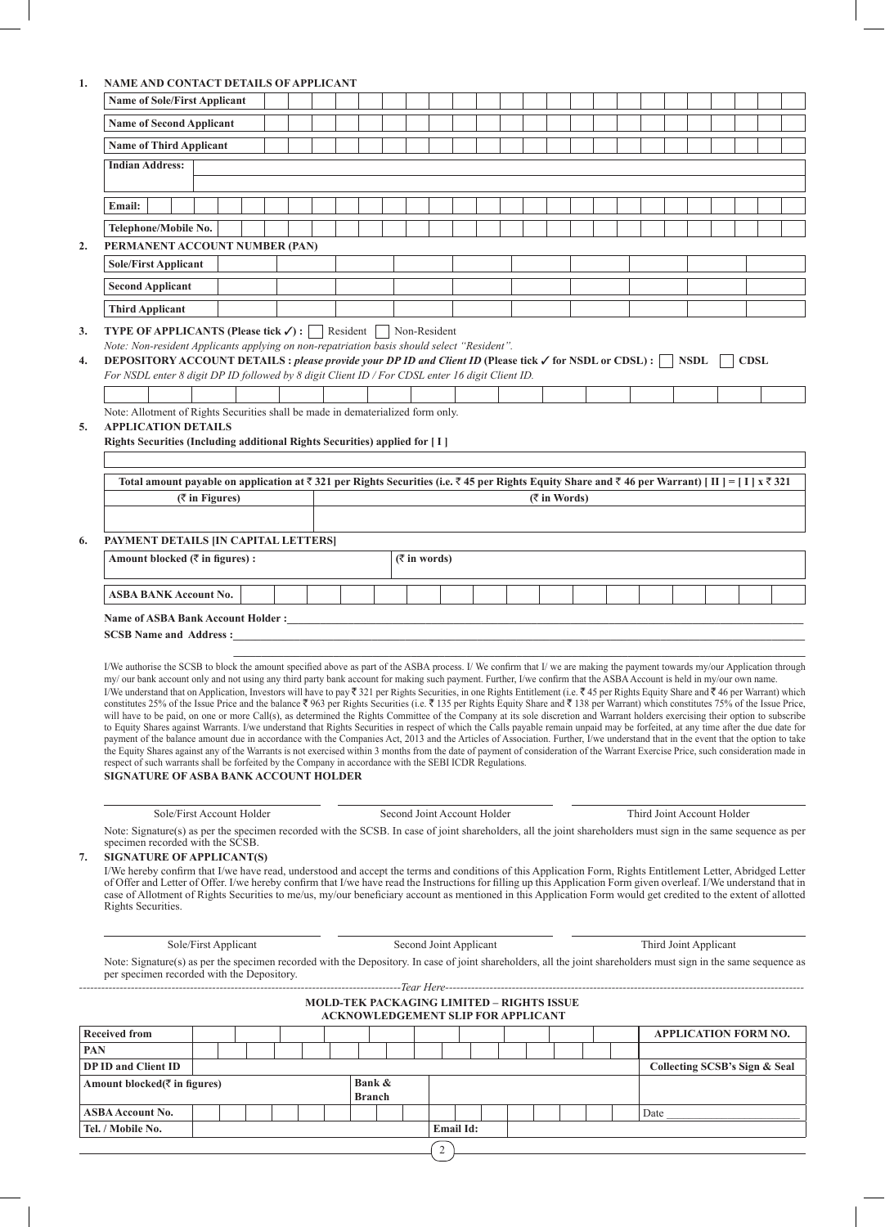# **1. NAME AND CONTACT DETAILS OF APPLICANT**

| <b>Name of Sole/First Applicant</b> |                                                                                                                                                                                                                                                                                                                                                                                                                                                                                                                                                                                                                                                                                                                                                                                                                                                                                                                                                                                                                                                                                                                                                                                                                                                                                                                                                                                                                                                                                                                                                                                                                                                |                   |  |  |  |  |  |               |  |                             |  |  |  |                 |  |      |                            |             |  |  |
|-------------------------------------|------------------------------------------------------------------------------------------------------------------------------------------------------------------------------------------------------------------------------------------------------------------------------------------------------------------------------------------------------------------------------------------------------------------------------------------------------------------------------------------------------------------------------------------------------------------------------------------------------------------------------------------------------------------------------------------------------------------------------------------------------------------------------------------------------------------------------------------------------------------------------------------------------------------------------------------------------------------------------------------------------------------------------------------------------------------------------------------------------------------------------------------------------------------------------------------------------------------------------------------------------------------------------------------------------------------------------------------------------------------------------------------------------------------------------------------------------------------------------------------------------------------------------------------------------------------------------------------------------------------------------------------------|-------------------|--|--|--|--|--|---------------|--|-----------------------------|--|--|--|-----------------|--|------|----------------------------|-------------|--|--|
|                                     | <b>Name of Second Applicant</b>                                                                                                                                                                                                                                                                                                                                                                                                                                                                                                                                                                                                                                                                                                                                                                                                                                                                                                                                                                                                                                                                                                                                                                                                                                                                                                                                                                                                                                                                                                                                                                                                                |                   |  |  |  |  |  |               |  |                             |  |  |  |                 |  |      |                            |             |  |  |
|                                     | <b>Name of Third Applicant</b>                                                                                                                                                                                                                                                                                                                                                                                                                                                                                                                                                                                                                                                                                                                                                                                                                                                                                                                                                                                                                                                                                                                                                                                                                                                                                                                                                                                                                                                                                                                                                                                                                 |                   |  |  |  |  |  |               |  |                             |  |  |  |                 |  |      |                            |             |  |  |
|                                     | <b>Indian Address:</b>                                                                                                                                                                                                                                                                                                                                                                                                                                                                                                                                                                                                                                                                                                                                                                                                                                                                                                                                                                                                                                                                                                                                                                                                                                                                                                                                                                                                                                                                                                                                                                                                                         |                   |  |  |  |  |  |               |  |                             |  |  |  |                 |  |      |                            |             |  |  |
|                                     |                                                                                                                                                                                                                                                                                                                                                                                                                                                                                                                                                                                                                                                                                                                                                                                                                                                                                                                                                                                                                                                                                                                                                                                                                                                                                                                                                                                                                                                                                                                                                                                                                                                |                   |  |  |  |  |  |               |  |                             |  |  |  |                 |  |      |                            |             |  |  |
|                                     | Email:                                                                                                                                                                                                                                                                                                                                                                                                                                                                                                                                                                                                                                                                                                                                                                                                                                                                                                                                                                                                                                                                                                                                                                                                                                                                                                                                                                                                                                                                                                                                                                                                                                         |                   |  |  |  |  |  |               |  |                             |  |  |  |                 |  |      |                            |             |  |  |
|                                     |                                                                                                                                                                                                                                                                                                                                                                                                                                                                                                                                                                                                                                                                                                                                                                                                                                                                                                                                                                                                                                                                                                                                                                                                                                                                                                                                                                                                                                                                                                                                                                                                                                                |                   |  |  |  |  |  |               |  |                             |  |  |  |                 |  |      |                            |             |  |  |
| 2.                                  | Telephone/Mobile No.<br>PERMANENT ACCOUNT NUMBER (PAN)                                                                                                                                                                                                                                                                                                                                                                                                                                                                                                                                                                                                                                                                                                                                                                                                                                                                                                                                                                                                                                                                                                                                                                                                                                                                                                                                                                                                                                                                                                                                                                                         |                   |  |  |  |  |  |               |  |                             |  |  |  |                 |  |      |                            |             |  |  |
|                                     | <b>Sole/First Applicant</b>                                                                                                                                                                                                                                                                                                                                                                                                                                                                                                                                                                                                                                                                                                                                                                                                                                                                                                                                                                                                                                                                                                                                                                                                                                                                                                                                                                                                                                                                                                                                                                                                                    |                   |  |  |  |  |  |               |  |                             |  |  |  |                 |  |      |                            |             |  |  |
|                                     | <b>Second Applicant</b>                                                                                                                                                                                                                                                                                                                                                                                                                                                                                                                                                                                                                                                                                                                                                                                                                                                                                                                                                                                                                                                                                                                                                                                                                                                                                                                                                                                                                                                                                                                                                                                                                        |                   |  |  |  |  |  |               |  |                             |  |  |  |                 |  |      |                            |             |  |  |
|                                     |                                                                                                                                                                                                                                                                                                                                                                                                                                                                                                                                                                                                                                                                                                                                                                                                                                                                                                                                                                                                                                                                                                                                                                                                                                                                                                                                                                                                                                                                                                                                                                                                                                                |                   |  |  |  |  |  |               |  |                             |  |  |  |                 |  |      |                            |             |  |  |
|                                     | <b>Third Applicant</b>                                                                                                                                                                                                                                                                                                                                                                                                                                                                                                                                                                                                                                                                                                                                                                                                                                                                                                                                                                                                                                                                                                                                                                                                                                                                                                                                                                                                                                                                                                                                                                                                                         |                   |  |  |  |  |  |               |  |                             |  |  |  |                 |  |      |                            |             |  |  |
| 3.                                  | <b>TYPE OF APPLICANTS (Please tick <math>\checkmark</math>) :</b> Resident Non-Resident<br>Note: Non-resident Applicants applying on non-repatriation basis should select "Resident".                                                                                                                                                                                                                                                                                                                                                                                                                                                                                                                                                                                                                                                                                                                                                                                                                                                                                                                                                                                                                                                                                                                                                                                                                                                                                                                                                                                                                                                          |                   |  |  |  |  |  |               |  |                             |  |  |  |                 |  |      |                            |             |  |  |
| 4.                                  |                                                                                                                                                                                                                                                                                                                                                                                                                                                                                                                                                                                                                                                                                                                                                                                                                                                                                                                                                                                                                                                                                                                                                                                                                                                                                                                                                                                                                                                                                                                                                                                                                                                |                   |  |  |  |  |  |               |  |                             |  |  |  |                 |  |      | <b>NSDL</b>                | <b>CDSL</b> |  |  |
|                                     | DEPOSITORY ACCOUNT DETAILS : please provide your DP ID and Client ID (Please tick √ for NSDL or CDSL) : [<br>For NSDL enter 8 digit DP ID followed by 8 digit Client ID / For CDSL enter 16 digit Client ID.                                                                                                                                                                                                                                                                                                                                                                                                                                                                                                                                                                                                                                                                                                                                                                                                                                                                                                                                                                                                                                                                                                                                                                                                                                                                                                                                                                                                                                   |                   |  |  |  |  |  |               |  |                             |  |  |  |                 |  |      |                            |             |  |  |
|                                     |                                                                                                                                                                                                                                                                                                                                                                                                                                                                                                                                                                                                                                                                                                                                                                                                                                                                                                                                                                                                                                                                                                                                                                                                                                                                                                                                                                                                                                                                                                                                                                                                                                                |                   |  |  |  |  |  |               |  |                             |  |  |  |                 |  |      |                            |             |  |  |
|                                     | Note: Allotment of Rights Securities shall be made in dematerialized form only.<br><b>APPLICATION DETAILS</b>                                                                                                                                                                                                                                                                                                                                                                                                                                                                                                                                                                                                                                                                                                                                                                                                                                                                                                                                                                                                                                                                                                                                                                                                                                                                                                                                                                                                                                                                                                                                  |                   |  |  |  |  |  |               |  |                             |  |  |  |                 |  |      |                            |             |  |  |
| 5.                                  | Rights Securities (Including additional Rights Securities) applied for [I]                                                                                                                                                                                                                                                                                                                                                                                                                                                                                                                                                                                                                                                                                                                                                                                                                                                                                                                                                                                                                                                                                                                                                                                                                                                                                                                                                                                                                                                                                                                                                                     |                   |  |  |  |  |  |               |  |                             |  |  |  |                 |  |      |                            |             |  |  |
|                                     |                                                                                                                                                                                                                                                                                                                                                                                                                                                                                                                                                                                                                                                                                                                                                                                                                                                                                                                                                                                                                                                                                                                                                                                                                                                                                                                                                                                                                                                                                                                                                                                                                                                |                   |  |  |  |  |  |               |  |                             |  |  |  |                 |  |      |                            |             |  |  |
|                                     | Total amount payable on application at $\bar{\tau}$ 321 per Rights Securities (i.e. $\bar{\tau}$ 45 per Rights Equity Share and $\bar{\tau}$ 46 per Warrant) [II] = [I] x $\bar{\tau}$ 321                                                                                                                                                                                                                                                                                                                                                                                                                                                                                                                                                                                                                                                                                                                                                                                                                                                                                                                                                                                                                                                                                                                                                                                                                                                                                                                                                                                                                                                     |                   |  |  |  |  |  |               |  |                             |  |  |  |                 |  |      |                            |             |  |  |
|                                     |                                                                                                                                                                                                                                                                                                                                                                                                                                                                                                                                                                                                                                                                                                                                                                                                                                                                                                                                                                                                                                                                                                                                                                                                                                                                                                                                                                                                                                                                                                                                                                                                                                                | $($ ₹ in Figures) |  |  |  |  |  |               |  |                             |  |  |  | $($ ₹ in Words) |  |      |                            |             |  |  |
|                                     |                                                                                                                                                                                                                                                                                                                                                                                                                                                                                                                                                                                                                                                                                                                                                                                                                                                                                                                                                                                                                                                                                                                                                                                                                                                                                                                                                                                                                                                                                                                                                                                                                                                |                   |  |  |  |  |  |               |  |                             |  |  |  |                 |  |      |                            |             |  |  |
| 6.                                  | PAYMENT DETAILS [IN CAPITAL LETTERS]                                                                                                                                                                                                                                                                                                                                                                                                                                                                                                                                                                                                                                                                                                                                                                                                                                                                                                                                                                                                                                                                                                                                                                                                                                                                                                                                                                                                                                                                                                                                                                                                           |                   |  |  |  |  |  |               |  |                             |  |  |  |                 |  |      |                            |             |  |  |
|                                     | Amount blocked (₹ in figures) :<br>$(\overline{\zeta}$ in words)                                                                                                                                                                                                                                                                                                                                                                                                                                                                                                                                                                                                                                                                                                                                                                                                                                                                                                                                                                                                                                                                                                                                                                                                                                                                                                                                                                                                                                                                                                                                                                               |                   |  |  |  |  |  |               |  |                             |  |  |  |                 |  |      |                            |             |  |  |
|                                     | ASBA BANK Account No.                                                                                                                                                                                                                                                                                                                                                                                                                                                                                                                                                                                                                                                                                                                                                                                                                                                                                                                                                                                                                                                                                                                                                                                                                                                                                                                                                                                                                                                                                                                                                                                                                          |                   |  |  |  |  |  |               |  |                             |  |  |  |                 |  |      |                            |             |  |  |
|                                     |                                                                                                                                                                                                                                                                                                                                                                                                                                                                                                                                                                                                                                                                                                                                                                                                                                                                                                                                                                                                                                                                                                                                                                                                                                                                                                                                                                                                                                                                                                                                                                                                                                                |                   |  |  |  |  |  |               |  |                             |  |  |  |                 |  |      |                            |             |  |  |
|                                     | SCSB Name and Address:                                                                                                                                                                                                                                                                                                                                                                                                                                                                                                                                                                                                                                                                                                                                                                                                                                                                                                                                                                                                                                                                                                                                                                                                                                                                                                                                                                                                                                                                                                                                                                                                                         |                   |  |  |  |  |  |               |  |                             |  |  |  |                 |  |      |                            |             |  |  |
|                                     |                                                                                                                                                                                                                                                                                                                                                                                                                                                                                                                                                                                                                                                                                                                                                                                                                                                                                                                                                                                                                                                                                                                                                                                                                                                                                                                                                                                                                                                                                                                                                                                                                                                |                   |  |  |  |  |  |               |  |                             |  |  |  |                 |  |      |                            |             |  |  |
|                                     | I/We authorise the SCSB to block the amount specified above as part of the ASBA process. I/We confirm that I/we are making the payment towards my/our Application through<br>my/ our bank account only and not using any third party bank account for making such payment. Further, I/we confirm that the ASBA Account is held in my/our own name.<br>I/We understand that on Application, Investors will have to pay ₹321 per Rights Securities, in one Rights Entitlement (i.e. ₹45 per Rights Equity Share and ₹46 per Warrant) which<br>constitutes 25% of the Issue Price and the balance ₹ 963 per Rights Securities (i.e. ₹ 135 per Rights Equity Share and ₹ 138 per Warrant) which constitutes 75% of the Issue Price,<br>will have to be paid, on one or more Call(s), as determined the Rights Committee of the Company at its sole discretion and Warrant holders exercising their option to subscribe<br>to Equity Shares against Warrants. I/we understand that Rights Securities in respect of which the Calls payable remain unpaid may be forfeited, at any time after the due date for<br>payment of the balance amount due in accordance with the Companies Act, 2013 and the Articles of Association. Further, I/we understand that in the event that the option to take<br>the Equity Shares against any of the Warrants is not exercised within 3 months from the date of payment of consideration of the Warrant Exercise Price, such consideration made in<br>respect of such warrants shall be forfeited by the Company in accordance with the SEBI ICDR Regulations.<br><b>SIGNATURE OF ASBA BANK ACCOUNT HOLDER</b> |                   |  |  |  |  |  |               |  |                             |  |  |  |                 |  |      |                            |             |  |  |
|                                     | Sole/First Account Holder                                                                                                                                                                                                                                                                                                                                                                                                                                                                                                                                                                                                                                                                                                                                                                                                                                                                                                                                                                                                                                                                                                                                                                                                                                                                                                                                                                                                                                                                                                                                                                                                                      |                   |  |  |  |  |  |               |  | Second Joint Account Holder |  |  |  |                 |  |      | Third Joint Account Holder |             |  |  |
|                                     | Note: Signature(s) as per the specimen recorded with the SCSB. In case of joint shareholders, all the joint shareholders must sign in the same sequence as per<br>specimen recorded with the SCSB.                                                                                                                                                                                                                                                                                                                                                                                                                                                                                                                                                                                                                                                                                                                                                                                                                                                                                                                                                                                                                                                                                                                                                                                                                                                                                                                                                                                                                                             |                   |  |  |  |  |  |               |  |                             |  |  |  |                 |  |      |                            |             |  |  |
| 7.                                  |                                                                                                                                                                                                                                                                                                                                                                                                                                                                                                                                                                                                                                                                                                                                                                                                                                                                                                                                                                                                                                                                                                                                                                                                                                                                                                                                                                                                                                                                                                                                                                                                                                                |                   |  |  |  |  |  |               |  |                             |  |  |  |                 |  |      |                            |             |  |  |
|                                     | SIGNATURE OF APPLICANT(S)<br>I/We hereby confirm that I/we have read, understood and accept the terms and conditions of this Application Form, Rights Entitlement Letter, Abridged Letter<br>of Offer and Letter of Offer. I/we hereby confirm that I/we have read the Instructions for filling up this Application Form given overleaf. I/We understand that in<br>case of Allotment of Rights Securities to me/us, my/our beneficiary account as mentioned in this Application Form would get credited to the extent of allotted<br>Rights Securities.                                                                                                                                                                                                                                                                                                                                                                                                                                                                                                                                                                                                                                                                                                                                                                                                                                                                                                                                                                                                                                                                                       |                   |  |  |  |  |  |               |  |                             |  |  |  |                 |  |      |                            |             |  |  |
|                                     | Sole/First Applicant                                                                                                                                                                                                                                                                                                                                                                                                                                                                                                                                                                                                                                                                                                                                                                                                                                                                                                                                                                                                                                                                                                                                                                                                                                                                                                                                                                                                                                                                                                                                                                                                                           |                   |  |  |  |  |  |               |  | Second Joint Applicant      |  |  |  |                 |  |      | Third Joint Applicant      |             |  |  |
|                                     | Note: Signature(s) as per the specimen recorded with the Depository. In case of joint shareholders, all the joint shareholders must sign in the same sequence as                                                                                                                                                                                                                                                                                                                                                                                                                                                                                                                                                                                                                                                                                                                                                                                                                                                                                                                                                                                                                                                                                                                                                                                                                                                                                                                                                                                                                                                                               |                   |  |  |  |  |  |               |  |                             |  |  |  |                 |  |      |                            |             |  |  |
|                                     | per specimen recorded with the Depository.                                                                                                                                                                                                                                                                                                                                                                                                                                                                                                                                                                                                                                                                                                                                                                                                                                                                                                                                                                                                                                                                                                                                                                                                                                                                                                                                                                                                                                                                                                                                                                                                     |                   |  |  |  |  |  |               |  |                             |  |  |  |                 |  |      |                            |             |  |  |
|                                     | <b>MOLD-TEK PACKAGING LIMITED – RIGHTS ISSUE</b>                                                                                                                                                                                                                                                                                                                                                                                                                                                                                                                                                                                                                                                                                                                                                                                                                                                                                                                                                                                                                                                                                                                                                                                                                                                                                                                                                                                                                                                                                                                                                                                               |                   |  |  |  |  |  |               |  |                             |  |  |  |                 |  |      |                            |             |  |  |
|                                     | ACKNOWLEDGEMENT SLIP FOR APPLICANT<br><b>APPLICATION FORM NO.</b>                                                                                                                                                                                                                                                                                                                                                                                                                                                                                                                                                                                                                                                                                                                                                                                                                                                                                                                                                                                                                                                                                                                                                                                                                                                                                                                                                                                                                                                                                                                                                                              |                   |  |  |  |  |  |               |  |                             |  |  |  |                 |  |      |                            |             |  |  |
|                                     | <b>Received from</b>                                                                                                                                                                                                                                                                                                                                                                                                                                                                                                                                                                                                                                                                                                                                                                                                                                                                                                                                                                                                                                                                                                                                                                                                                                                                                                                                                                                                                                                                                                                                                                                                                           |                   |  |  |  |  |  |               |  |                             |  |  |  |                 |  |      |                            |             |  |  |
| PAN                                 | <b>DP ID and Client ID</b>                                                                                                                                                                                                                                                                                                                                                                                                                                                                                                                                                                                                                                                                                                                                                                                                                                                                                                                                                                                                                                                                                                                                                                                                                                                                                                                                                                                                                                                                                                                                                                                                                     |                   |  |  |  |  |  |               |  |                             |  |  |  |                 |  |      |                            |             |  |  |
|                                     | Collecting SCSB's Sign & Seal<br>Bank &<br>Amount blocked(₹ in figures)                                                                                                                                                                                                                                                                                                                                                                                                                                                                                                                                                                                                                                                                                                                                                                                                                                                                                                                                                                                                                                                                                                                                                                                                                                                                                                                                                                                                                                                                                                                                                                        |                   |  |  |  |  |  |               |  |                             |  |  |  |                 |  |      |                            |             |  |  |
|                                     | <b>ASBA Account No.</b>                                                                                                                                                                                                                                                                                                                                                                                                                                                                                                                                                                                                                                                                                                                                                                                                                                                                                                                                                                                                                                                                                                                                                                                                                                                                                                                                                                                                                                                                                                                                                                                                                        |                   |  |  |  |  |  | <b>Branch</b> |  |                             |  |  |  |                 |  | Date |                            |             |  |  |
|                                     |                                                                                                                                                                                                                                                                                                                                                                                                                                                                                                                                                                                                                                                                                                                                                                                                                                                                                                                                                                                                                                                                                                                                                                                                                                                                                                                                                                                                                                                                                                                                                                                                                                                |                   |  |  |  |  |  |               |  |                             |  |  |  |                 |  |      |                            |             |  |  |

| ۰, |         |  |
|----|---------|--|
|    | ٠<br>۰, |  |
|    | ۹<br>I  |  |
|    |         |  |
|    |         |  |

**Tel. / Mobile No. Email Id:**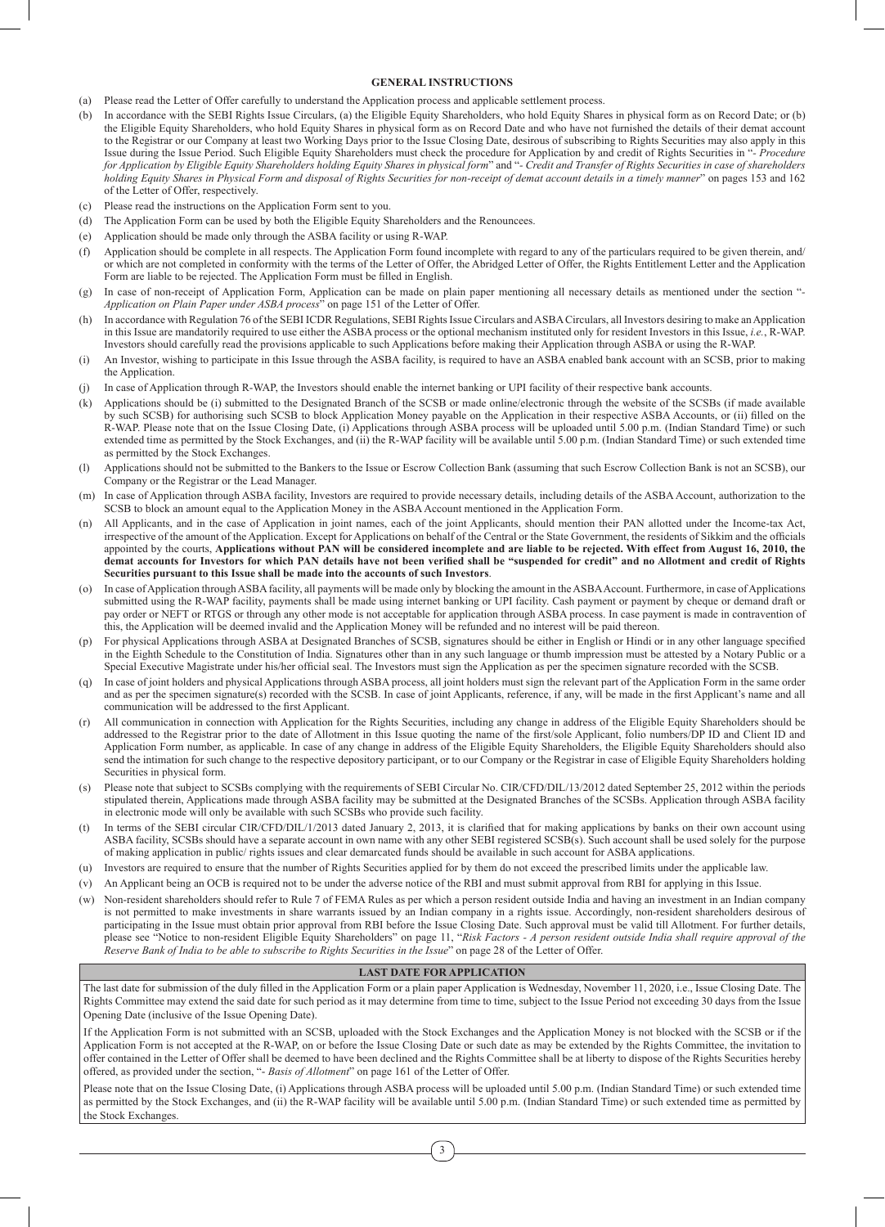#### **GENERAL INSTRUCTIONS**

- (a) Please read the Letter of Offer carefully to understand the Application process and applicable settlement process.
- (b) In accordance with the SEBI Rights Issue Circulars, (a) the Eligible Equity Shareholders, who hold Equity Shares in physical form as on Record Date; or (b) the Eligible Equity Shareholders, who hold Equity Shares in physical form as on Record Date and who have not furnished the details of their demat account to the Registrar or our Company at least two Working Days prior to the Issue Closing Date, desirous of subscribing to Rights Securities may also apply in this Issue during the Issue Period. Such Eligible Equity Shareholders must check the procedure for Application by and credit of Rights Securities in "*- Procedure for Application by Eligible Equity Shareholders holding Equity Shares in physical form*" and "*- Credit and Transfer of Rights Securities in case of shareholders holding Equity Shares in Physical Form and disposal of Rights Securities for non-receipt of demat account details in a timely manner*" on pages 153 and 162 of the Letter of Offer, respectively.
- (c) Please read the instructions on the Application Form sent to you.
- (d) The Application Form can be used by both the Eligible Equity Shareholders and the Renouncees.
- (e) Application should be made only through the ASBA facility or using R-WAP.
- (f) Application should be complete in all respects. The Application Form found incomplete with regard to any of the particulars required to be given therein, and/ or which are not completed in conformity with the terms of the Letter of Offer, the Abridged Letter of Offer, the Rights Entitlement Letter and the Application Form are liable to be rejected. The Application Form must be filled in English.
- In case of non-receipt of Application Form, Application can be made on plain paper mentioning all necessary details as mentioned under the section "-*Application on Plain Paper under ASBA process*" on page 151 of the Letter of Offer.
- In accordance with Regulation 76 of the SEBI ICDR Regulations, SEBI Rights Issue Circulars and ASBA Circulars, all Investors desiring to make an Application in this Issue are mandatorily required to use either the ASBA process or the optional mechanism instituted only for resident Investors in this Issue, *i.e.*, R-WAP. Investors should carefully read the provisions applicable to such Applications before making their Application through ASBA or using the R-WAP.
- (i) An Investor, wishing to participate in this Issue through the ASBA facility, is required to have an ASBA enabled bank account with an SCSB, prior to making the Application.
- (j) In case of Application through R-WAP, the Investors should enable the internet banking or UPI facility of their respective bank accounts.
- (k) Applications should be (i) submitted to the Designated Branch of the SCSB or made online/electronic through the website of the SCSBs (if made available by such SCSB) for authorising such SCSB to block Application Money payable on the Application in their respective ASBA Accounts, or (ii) filled on the R-WAP. Please note that on the Issue Closing Date, (i) Applications through ASBA process will be uploaded until 5.00 p.m. (Indian Standard Time) or such extended time as permitted by the Stock Exchanges, and (ii) the R-WAP facility will be available until 5.00 p.m. (Indian Standard Time) or such extended time as permitted by the Stock Exchanges.
- (l) Applications should not be submitted to the Bankers to the Issue or Escrow Collection Bank (assuming that such Escrow Collection Bank is not an SCSB), our Company or the Registrar or the Lead Manager.
- (m) In case of Application through ASBA facility, Investors are required to provide necessary details, including details of the ASBA Account, authorization to the SCSB to block an amount equal to the Application Money in the ASBA Account mentioned in the Application Form.
- (n) All Applicants, and in the case of Application in joint names, each of the joint Applicants, should mention their PAN allotted under the Income-tax Act, irrespective of the amount of the Application. Except for Applications on behalf of the Central or the State Government, the residents of Sikkim and the officials appointed by the courts, **Applications without PAN will be considered incomplete and are liable to be rejected. With effect from August 16, 2010, the demat accounts for Investors for which PAN details have not been verified shall be "suspended for credit" and no Allotment and credit of Rights Securities pursuant to this Issue shall be made into the accounts of such Investors**.
- (o) In case of Application through ASBA facility, all payments will be made only by blocking the amount in the ASBA Account. Furthermore, in case of Applications submitted using the R-WAP facility, payments shall be made using internet banking or UPI facility. Cash payment or payment by cheque or demand draft or pay order or NEFT or RTGS or through any other mode is not acceptable for application through ASBA process. In case payment is made in contravention of this, the Application will be deemed invalid and the Application Money will be refunded and no interest will be paid thereon.
- (p) For physical Applications through ASBA at Designated Branches of SCSB, signatures should be either in English or Hindi or in any other language specified in the Eighth Schedule to the Constitution of India. Signatures other than in any such language or thumb impression must be attested by a Notary Public or a Special Executive Magistrate under his/her official seal. The Investors must sign the Application as per the specimen signature recorded with the SCSB.
- (q) In case of joint holders and physical Applications through ASBA process, all joint holders must sign the relevant part of the Application Form in the same order and as per the specimen signature(s) recorded with the SCSB. In case of joint Applicants, reference, if any, will be made in the first Applicant's name and all communication will be addressed to the first Applicant.
- (r) All communication in connection with Application for the Rights Securities, including any change in address of the Eligible Equity Shareholders should be addressed to the Registrar prior to the date of Allotment in this Issue quoting the name of the first/sole Applicant, folio numbers/DP ID and Client ID and Application Form number, as applicable. In case of any change in address of the Eligible Equity Shareholders, the Eligible Equity Shareholders should also send the intimation for such change to the respective depository participant, or to our Company or the Registrar in case of Eligible Equity Shareholders holding Securities in physical form.
- (s) Please note that subject to SCSBs complying with the requirements of SEBI Circular No. CIR/CFD/DIL/13/2012 dated September 25, 2012 within the periods stipulated therein, Applications made through ASBA facility may be submitted at the Designated Branches of the SCSBs. Application through ASBA facility in electronic mode will only be available with such SCSBs who provide such facility.
- In terms of the SEBI circular CIR/CFD/DIL/1/2013 dated January 2, 2013, it is clarified that for making applications by banks on their own account using ASBA facility, SCSBs should have a separate account in own name with any other SEBI registered SCSB(s). Such account shall be used solely for the purpose of making application in public/ rights issues and clear demarcated funds should be available in such account for ASBA applications.
- (u) Investors are required to ensure that the number of Rights Securities applied for by them do not exceed the prescribed limits under the applicable law.
- (v) An Applicant being an OCB is required not to be under the adverse notice of the RBI and must submit approval from RBI for applying in this Issue.
- (w) Non-resident shareholders should refer to Rule 7 of FEMA Rules as per which a person resident outside India and having an investment in an Indian company is not permitted to make investments in share warrants issued by an Indian company in a rights issue. Accordingly, non-resident shareholders desirous of participating in the Issue must obtain prior approval from RBI before the Issue Closing Date. Such approval must be valid till Allotment. For further details, please see "Notice to non-resident Eligible Equity Shareholders" on page 11, "Risk Factors - A person resident outside India shall require approval of the *Reserve Bank of India to be able to subscribe to Rights Securities in the Issue*" on page 28 of the Letter of Offer.

### **LAST DATE FOR APPLICATION**

The last date for submission of the duly filled in the Application Form or a plain paper Application is Wednesday, November 11, 2020, i.e., Issue Closing Date. The Rights Committee may extend the said date for such period as it may determine from time to time, subject to the Issue Period not exceeding 30 days from the Issue Opening Date (inclusive of the Issue Opening Date).

If the Application Form is not submitted with an SCSB, uploaded with the Stock Exchanges and the Application Money is not blocked with the SCSB or if the Application Form is not accepted at the R-WAP, on or before the Issue Closing Date or such date as may be extended by the Rights Committee, the invitation to offer contained in the Letter of Offer shall be deemed to have been declined and the Rights Committee shall be at liberty to dispose of the Rights Securities hereby offered, as provided under the section, "- *Basis of Allotment*" on page 161 of the Letter of Offer.

Please note that on the Issue Closing Date, (i) Applications through ASBA process will be uploaded until 5.00 p.m. (Indian Standard Time) or such extended time as permitted by the Stock Exchanges, and (ii) the R-WAP facility will be available until 5.00 p.m. (Indian Standard Time) or such extended time as permitted by the Stock Exchanges.

3